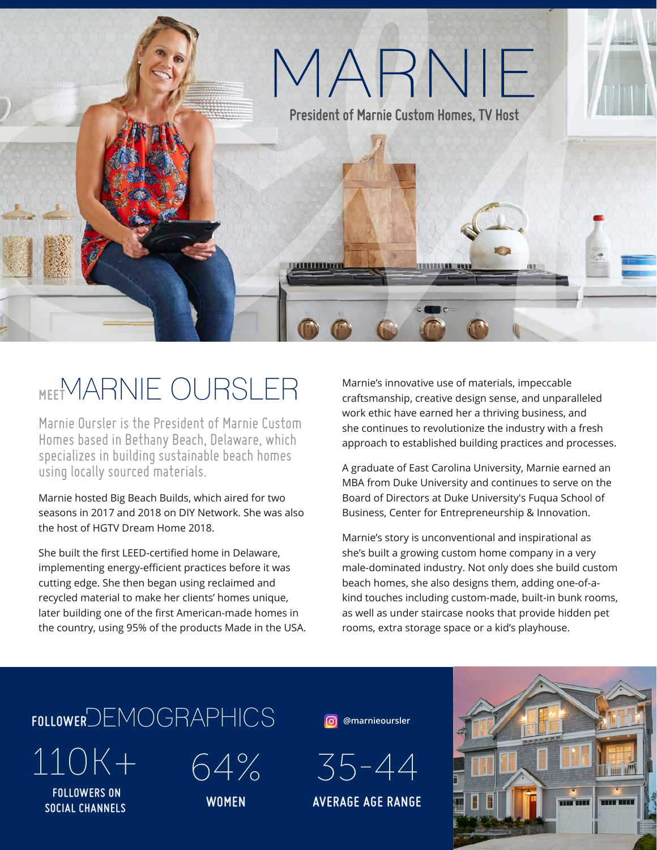

## **MEET**MARNIE OURSLER

Marnie Oursler is the President of Marnie Custom Homes based in Bethany Beach, Delaware, which specializes in building sustainable beach homes using locally sourced materials.

Marnie hosted Big Beach Builds, which aired for two seasons in 2017 and 2018 on DIY Network. She was also the host of HGTV Dream Home 2018.

She built the first LEED-certified home in Delaware, implementing energy-efficient practices before it was cutting edge. She then began using reclaimed and recycled material to make her clients' homes unique, later building one of the first American-made homes in the country, using 95% of the products Made in the USA. Marnie's innovative use of materials, impeccable craftsmanship, creative design sense, and unparalleled work ethic have earned her a thriving business, and she continues to revolutionize the industry with a fresh approach to established building practices and processes.

A graduate of East Carolina University, Marnie earned an MBA from Duke University and continues to serve on the Board of Directors at Duke University's Fuqua School of Business, Center for Entrepreneurship & Innovation.

Marnie's story is unconventional and inspirational as she's built a growing custom home company in a very male-dominated industry. Not only does she build custom beach homes, she also designs them, adding one-of-akind touches including custom-made, built-in bunk rooms, as well as under staircase nooks that provide hidden pet rooms, extra storage space or a kid's playhouse.

# **FOLLOWER**DEMOGRAPHICS 110K+ 64%

 **FOLLOWERS ON SOCIAL CHANNELS**

**WOMEN**

**@marnieoursler**



**AVERAGE AGE RANGE**